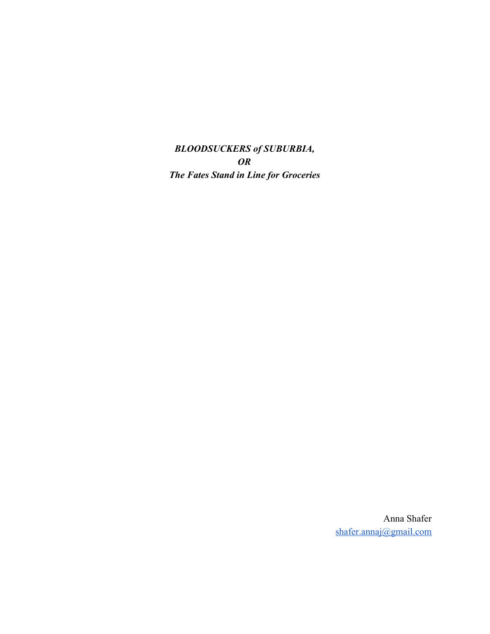*BLOODSUCKERS of SUBURBIA, OR The Fates Stand in Line for Groceries*

> Anna Shafer [shafer.annaj@gmail.com](mailto:shafer.annaj@gmail.com)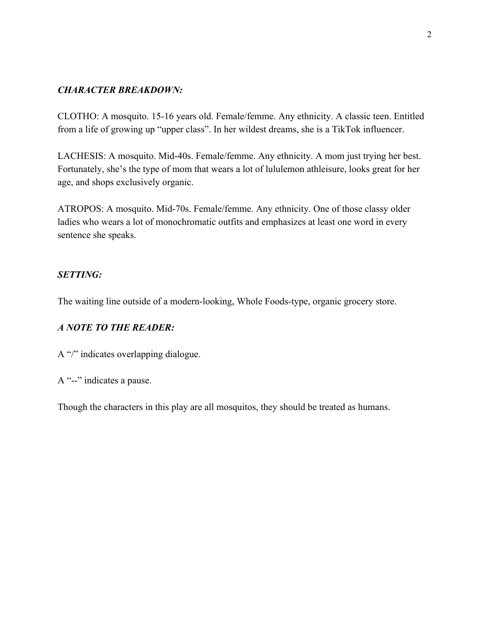# *CHARACTER BREAKDOWN:*

CLOTHO: A mosquito. 15-16 years old. Female/femme. Any ethnicity. A classic teen. Entitled from a life of growing up "upper class". In her wildest dreams, she is a TikTok influencer.

LACHESIS: A mosquito. Mid-40s. Female/femme. Any ethnicity. A mom just trying her best. Fortunately, she's the type of mom that wears a lot of lululemon athleisure, looks great for her age, and shops exclusively organic.

ATROPOS: A mosquito. Mid-70s. Female/femme. Any ethnicity. One of those classy older ladies who wears a lot of monochromatic outfits and emphasizes at least one word in every sentence she speaks.

# *SETTING:*

The waiting line outside of a modern-looking, Whole Foods-type, organic grocery store.

### *A NOTE TO THE READER:*

A "/" indicates overlapping dialogue.

A "--" indicates a pause.

Though the characters in this play are all mosquitos, they should be treated as humans.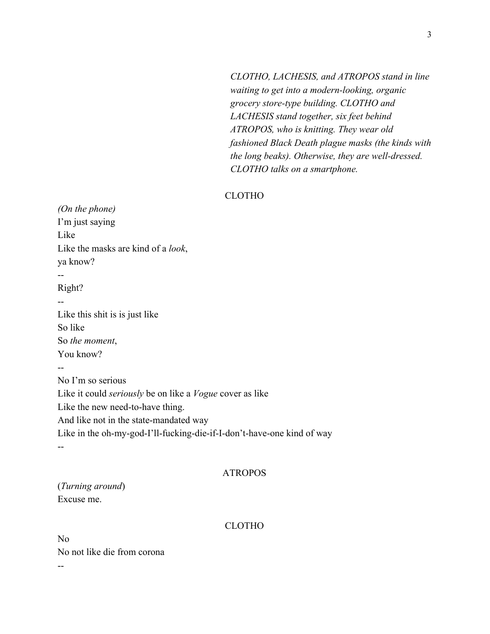*CLOTHO, LACHESIS, and ATROPOS stand in line waiting to get into a modern-looking, organic grocery store-type building. CLOTHO and LACHESIS stand together, six feet behind ATROPOS, who is knitting. They wear old fashioned Black Death plague masks (the kinds with the long beaks). Otherwise, they are well-dressed. CLOTHO talks on a smartphone.*

# CLOTHO

*(On the phone)* I'm just saying Like Like the masks are kind of a *look*, ya know? -- Right? -- Like this shit is is just like So like So *the moment*, You know? -- No I'm so serious Like it could *seriously* be on like a *Vogue* cover as like Like the new need-to-have thing. And like not in the state-mandated way Like in the oh-my-god-I'll-fucking-die-if-I-don't-have-one kind of way --

# ATROPOS

(*Turning around*) Excuse me.

--

### CLOTHO

No No not like die from corona 3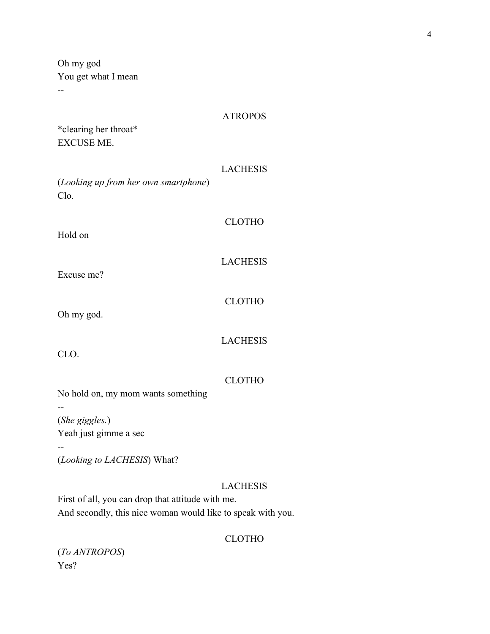Oh my god You get what I mean --

| *clearing her throat*<br><b>EXCUSE ME.</b>                                                                       | <b>ATROPOS</b>  |
|------------------------------------------------------------------------------------------------------------------|-----------------|
| (Looking up from her own smartphone)<br>Clo.                                                                     | <b>LACHESIS</b> |
| Hold on                                                                                                          | <b>CLOTHO</b>   |
| Excuse me?                                                                                                       | <b>LACHESIS</b> |
| Oh my god.                                                                                                       | <b>CLOTHO</b>   |
| CLO.                                                                                                             | <b>LACHESIS</b> |
| No hold on, my mom wants something                                                                               | <b>CLOTHO</b>   |
| (She giggles.)<br>Yeah just gimme a sec                                                                          |                 |
| (Looking to LACHESIS) What?                                                                                      |                 |
| First of all, you can drop that attitude with me.<br>And secondly, this nice woman would like to speak with you. | <b>LACHESIS</b> |

# CLOTHO

(*To ANTROPOS*) Yes?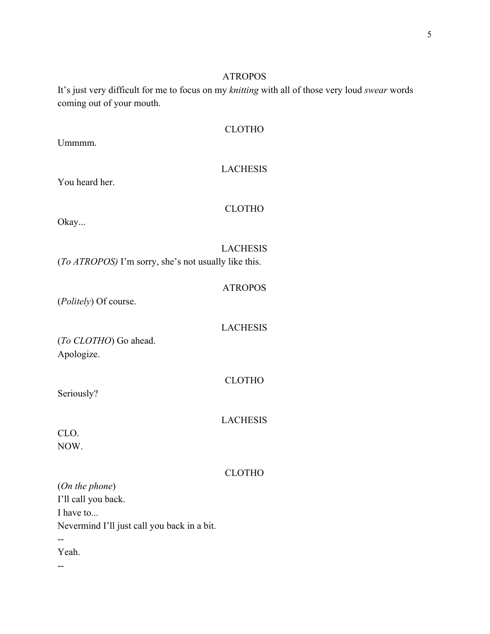# ATROPOS

It's just very difficult for me to focus on my *knitting* with all of those very loud *swear* words coming out of your mouth.

| Ummmm.                                                   | <b>CLOTHO</b>   |
|----------------------------------------------------------|-----------------|
| You heard her.                                           | <b>LACHESIS</b> |
| Okay                                                     | <b>CLOTHO</b>   |
| (To ATROPOS) I'm sorry, she's not usually like this.     | <b>LACHESIS</b> |
| (Politely) Of course.                                    | <b>ATROPOS</b>  |
| (To CLOTHO) Go ahead.                                    | <b>LACHESIS</b> |
| Apologize.                                               | <b>CLOTHO</b>   |
| Seriously?                                               | <b>LACHESIS</b> |
| CLO.<br>NOW.                                             |                 |
| (On the phone)<br>I'll call you back.                    | <b>CLOTHO</b>   |
| I have to<br>Nevermind I'll just call you back in a bit. |                 |
| Yeah.                                                    |                 |

--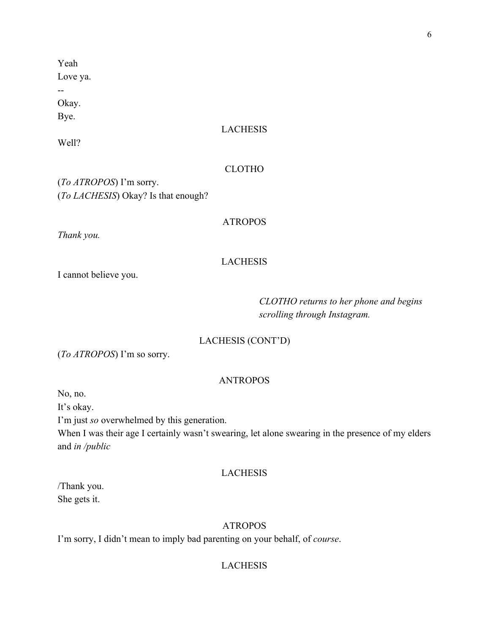Yeah

Love ya. --

Okay.

Bye.

# LACHESIS

Well?

# CLOTHO

(*To ATROPOS*) I'm sorry. (*To LACHESIS*) Okay? Is that enough?

# ATROPOS

*Thank you.*

# LACHESIS

I cannot believe you.

# *CLOTHO returns to her phone and begins scrolling through Instagram.*

# LACHESIS (CONT'D)

(*To ATROPOS*) I'm so sorry.

## ANTROPOS

No, no.

It's okay.

I'm just *so* overwhelmed by this generation.

When I was their age I certainly wasn't swearing, let alone swearing in the presence of my elders and *in /public*

# LACHESIS

/Thank you. She gets it.

# ATROPOS

I'm sorry, I didn't mean to imply bad parenting on your behalf, of *course*.

# LACHESIS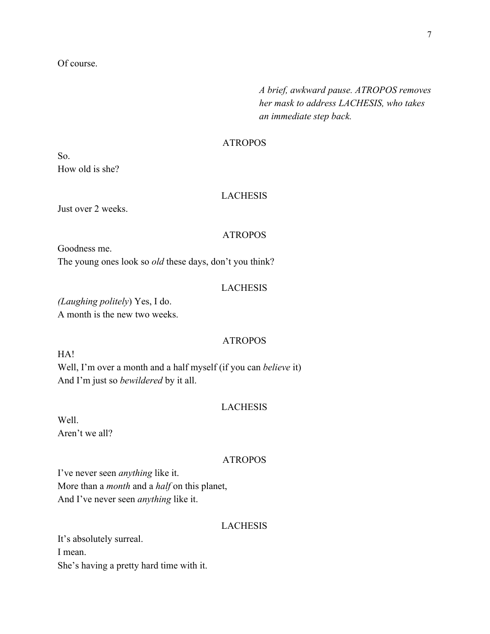# Of course.

*A brief, awkward pause. ATROPOS removes her mask to address LACHESIS, who takes an immediate step back.*

## ATROPOS

So. How old is she?

# LACHESIS

Just over 2 weeks.

#### ATROPOS

Goodness me. The young ones look so *old* these days, don't you think?

## LACHESIS

*(Laughing politely*) Yes, I do. A month is the new two weeks.

## ATROPOS

HA! Well, I'm over a month and a half myself (if you can *believe* it) And I'm just so *bewildered* by it all.

### LACHESIS

Well. Aren't we all?

#### ATROPOS

I've never seen *anything* like it. More than a *month* and a *half* on this planet, And I've never seen *anything* like it.

### LACHESIS

It's absolutely surreal. I mean. She's having a pretty hard time with it.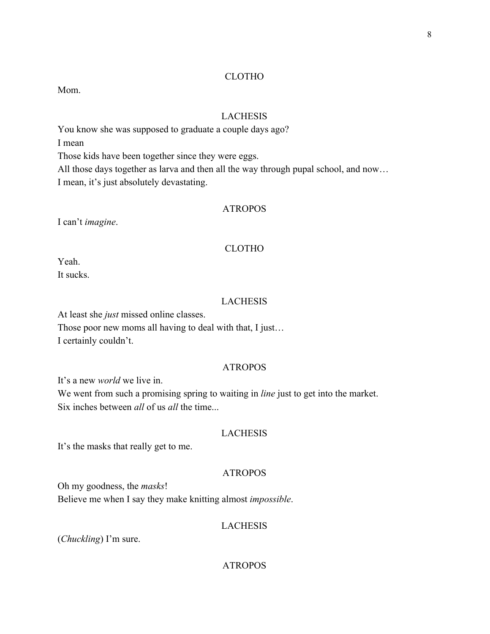#### CLOTHO

Mom.

#### LACHESIS

You know she was supposed to graduate a couple days ago? I mean Those kids have been together since they were eggs. All those days together as larva and then all the way through pupal school, and now… I mean, it's just absolutely devastating.

# ATROPOS

I can't *imagine*.

# CLOTHO

Yeah. It sucks.

#### LACHESIS

At least she *just* missed online classes. Those poor new moms all having to deal with that, I just… I certainly couldn't.

### ATROPOS

It's a new *world* we live in.

We went from such a promising spring to waiting in *line* just to get into the market. Six inches between *all* of us *all* the time...

### LACHESIS

It's the masks that really get to me.

### ATROPOS

Oh my goodness, the *masks*!

Believe me when I say they make knitting almost *impossible*.

# LACHESIS

(*Chuckling*) I'm sure.

#### ATROPOS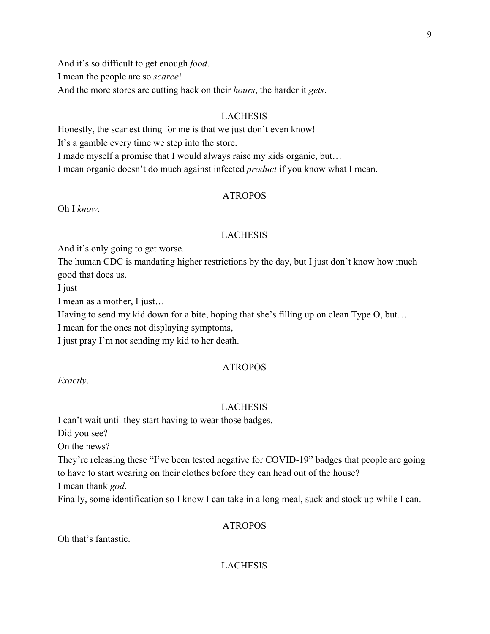And it's so difficult to get enough *food*. I mean the people are so *scarce*! And the more stores are cutting back on their *hours*, the harder it *gets*.

## LACHESIS

Honestly, the scariest thing for me is that we just don't even know! It's a gamble every time we step into the store. I made myself a promise that I would always raise my kids organic, but… I mean organic doesn't do much against infected *product* if you know what I mean.

#### ATROPOS

Oh I *know*.

#### LACHESIS

And it's only going to get worse.

The human CDC is mandating higher restrictions by the day, but I just don't know how much good that does us.

I just

I mean as a mother, I just…

Having to send my kid down for a bite, hoping that she's filling up on clean Type O, but…

I mean for the ones not displaying symptoms,

I just pray I'm not sending my kid to her death.

### ATROPOS

*Exactly*.

#### LACHESIS

I can't wait until they start having to wear those badges.

Did you see?

On the news?

They're releasing these "I've been tested negative for COVID-19" badges that people are going to have to start wearing on their clothes before they can head out of the house?

I mean thank *god*.

Finally, some identification so I know I can take in a long meal, suck and stock up while I can.

# ATROPOS

Oh that's fantastic.

# 9

# LACHESIS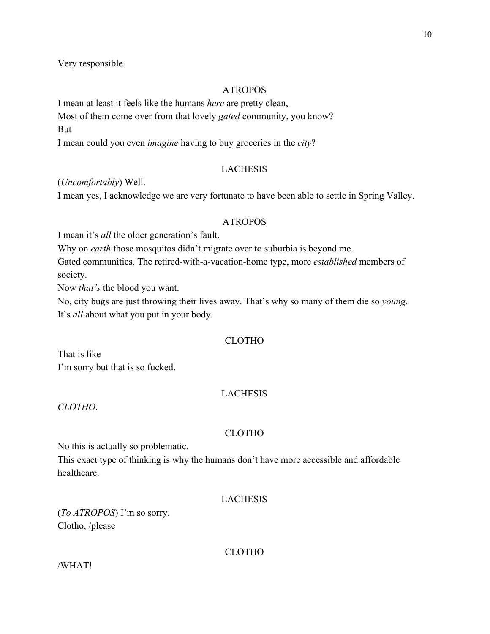Very responsible.

# ATROPOS

I mean at least it feels like the humans *here* are pretty clean,

Most of them come over from that lovely *gated* community, you know? But

I mean could you even *imagine* having to buy groceries in the *city*?

# LACHESIS

(*Uncomfortably*) Well.

I mean yes, I acknowledge we are very fortunate to have been able to settle in Spring Valley.

# ATROPOS

I mean it's *all* the older generation's fault.

Why on *earth* those mosquitos didn't migrate over to suburbia is beyond me.

Gated communities. The retired-with-a-vacation-home type, more *established* members of society.

Now *that's* the blood you want.

No, city bugs are just throwing their lives away. That's why so many of them die so *young*. It's *all* about what you put in your body.

# CLOTHO

That is like I'm sorry but that is so fucked.

# LACHESIS

*CLOTHO*.

# CLOTHO

No this is actually so problematic.

This exact type of thinking is why the humans don't have more accessible and affordable healthcare.

# LACHESIS

(*To ATROPOS*) I'm so sorry. Clotho, /please

CLOTHO

/WHAT!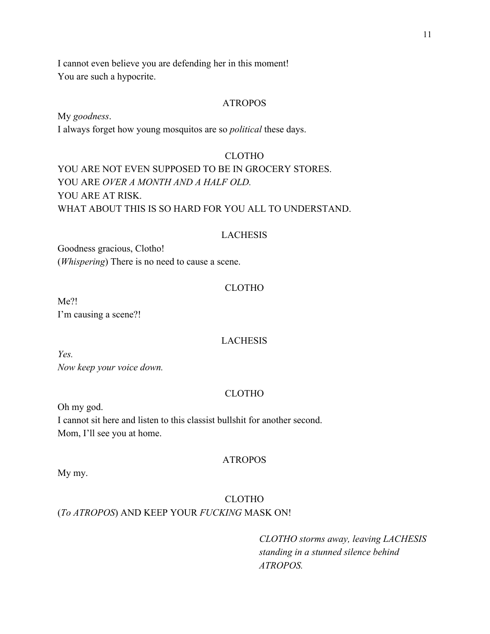I cannot even believe you are defending her in this moment! You are such a hypocrite.

### ATROPOS

My *goodness*. I always forget how young mosquitos are so *political* these days.

### CLOTHO

# YOU ARE NOT EVEN SUPPOSED TO BE IN GROCERY STORES. YOU ARE *OVER A MONTH AND A HALF OLD.* YOU ARE AT RISK. WHAT ABOUT THIS IS SO HARD FOR YOU ALL TO UNDERSTAND.

#### LACHESIS

Goodness gracious, Clotho! (*Whispering*) There is no need to cause a scene.

#### CLOTHO

Me?! I'm causing a scene?!

#### LACHESIS

*Yes. Now keep your voice down.*

#### CLOTHO

Oh my god. I cannot sit here and listen to this classist bullshit for another second. Mom, I'll see you at home.

## ATROPOS

My my.

# CLOTHO (*To ATROPOS*) AND KEEP YOUR *FUCKING* MASK ON!

*CLOTHO storms away, leaving LACHESIS standing in a stunned silence behind ATROPOS.*